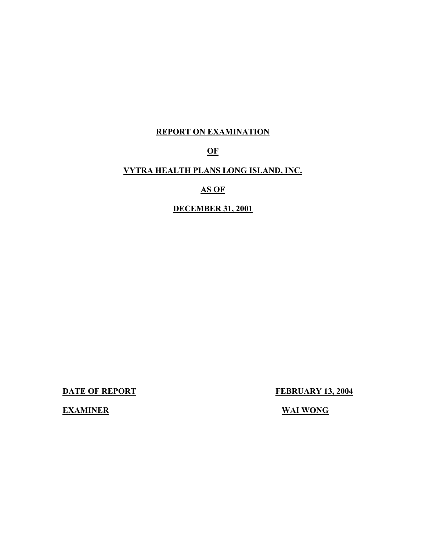## **REPORT ON EXAMINATION**

## **OF**

## **VYTRA HEALTH PLANS LONG ISLAND, INC.**

### **AS OF**

### **DECEMBER 31, 2001**

**DATE OF REPORT FEBRUARY 13, 2004** 

**EXAMINER** WAI WONG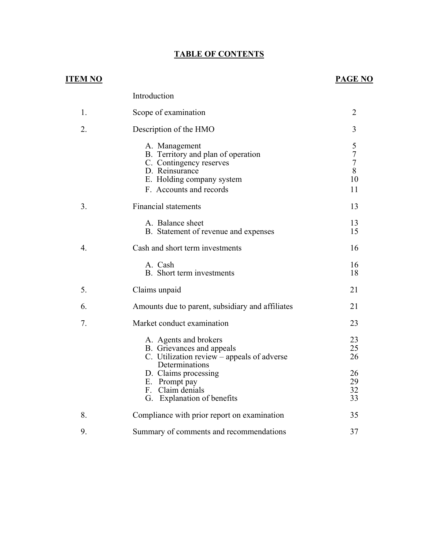### **TABLE OF CONTENTS**

## **PAGE NO**

|                  | Introduction                                                                                                                                             |                                                    |
|------------------|----------------------------------------------------------------------------------------------------------------------------------------------------------|----------------------------------------------------|
| 1.               | Scope of examination                                                                                                                                     | $\overline{2}$                                     |
| 2.               | Description of the HMO                                                                                                                                   | 3                                                  |
|                  | A. Management<br>B. Territory and plan of operation<br>C. Contingency reserves<br>D. Reinsurance<br>E. Holding company system<br>F. Accounts and records | 5<br>$\sqrt{ }$<br>$\overline{7}$<br>8<br>10<br>11 |
| 3.               | <b>Financial statements</b>                                                                                                                              | 13                                                 |
|                  | A. Balance sheet<br>B. Statement of revenue and expenses                                                                                                 | 13<br>15                                           |
| $\overline{4}$ . | Cash and short term investments                                                                                                                          | 16                                                 |
|                  | A. Cash<br>B. Short term investments                                                                                                                     | 16<br>18                                           |
| 5.               | Claims unpaid                                                                                                                                            | 21                                                 |
| 6.               | Amounts due to parent, subsidiary and affiliates                                                                                                         | 21                                                 |
| 7.               | Market conduct examination                                                                                                                               | 23                                                 |
|                  | A. Agents and brokers<br>B. Grievances and appeals<br>C. Utilization review – appeals of adverse<br>Determinations                                       | 23<br>25<br>26                                     |
|                  | D. Claims processing<br>E. Prompt pay<br>F. Claim denials<br>G. Explanation of benefits                                                                  | 26<br>29<br>32<br>33                               |
| 8.               | Compliance with prior report on examination                                                                                                              | 35                                                 |
| 9.               | Summary of comments and recommendations                                                                                                                  | 37                                                 |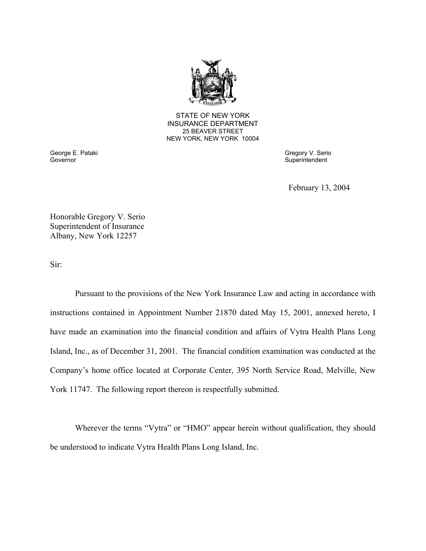

**25 BEAVER STREET** STATE OF NEW YORK INSURANCE DEPARTMENT NEW YORK, NEW YORK 10004

Governor George E. Pataki Gregory V. Serio

Superintendent

February 13, 2004

Honorable Gregory V. Serio Superintendent of Insurance Albany, New York 12257

Sir:

Pursuant to the provisions of the New York Insurance Law and acting in accordance with instructions contained in Appointment Number 21870 dated May 15, 2001, annexed hereto, I have made an examination into the financial condition and affairs of Vytra Health Plans Long Island, Inc., as of December 31, 2001. The financial condition examination was conducted at the Company's home office located at Corporate Center, 395 North Service Road, Melville, New York 11747. The following report thereon is respectfully submitted.

Wherever the terms "Vytra" or "HMO" appear herein without qualification, they should be understood to indicate Vytra Health Plans Long Island, Inc.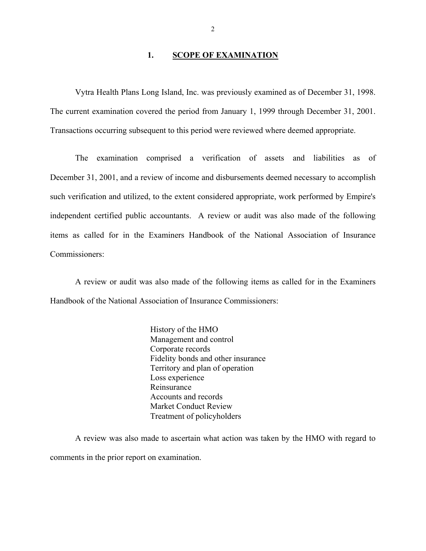#### 1. **SCOPE OF EXAMINATION**

Vytra Health Plans Long Island, Inc. was previously examined as of December 31, 1998. The current examination covered the period from January 1, 1999 through December 31, 2001. Transactions occurring subsequent to this period were reviewed where deemed appropriate.

The examination comprised a verification of assets and liabilities as of December 31, 2001, and a review of income and disbursements deemed necessary to accomplish such verification and utilized, to the extent considered appropriate, work performed by Empire's independent certified public accountants. A review or audit was also made of the following items as called for in the Examiners Handbook of the National Association of Insurance Commissioners:

A review or audit was also made of the following items as called for in the Examiners Handbook of the National Association of Insurance Commissioners:

> History of the HMO Management and control Corporate records Fidelity bonds and other insurance Territory and plan of operation Loss experience Reinsurance Accounts and records Market Conduct Review Treatment of policyholders

A review was also made to ascertain what action was taken by the HMO with regard to comments in the prior report on examination.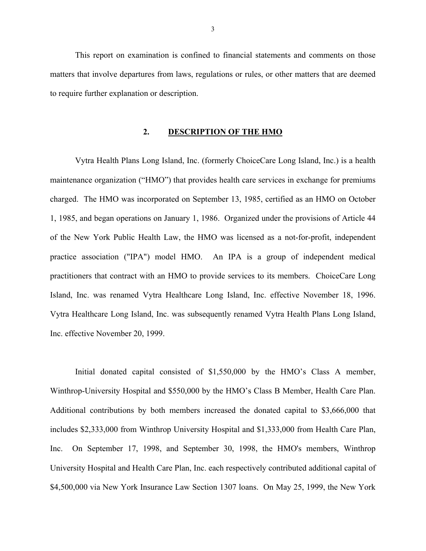This report on examination is confined to financial statements and comments on those matters that involve departures from laws, regulations or rules, or other matters that are deemed to require further explanation or description.

#### **2. DESCRIPTION OF THE HMO**

Vytra Health Plans Long Island, Inc. (formerly ChoiceCare Long Island, Inc.) is a health maintenance organization ("HMO") that provides health care services in exchange for premiums charged. The HMO was incorporated on September 13, 1985, certified as an HMO on October 1, 1985, and began operations on January 1, 1986. Organized under the provisions of Article 44 of the New York Public Health Law, the HMO was licensed as a not-for-profit, independent practice association ("IPA") model HMO. An IPA is a group of independent medical practitioners that contract with an HMO to provide services to its members. ChoiceCare Long Island, Inc. was renamed Vytra Healthcare Long Island, Inc. effective November 18, 1996. Vytra Healthcare Long Island, Inc. was subsequently renamed Vytra Health Plans Long Island, Inc. effective November 20, 1999.

Initial donated capital consisted of \$1,550,000 by the HMO's Class A member, Winthrop-University Hospital and \$550,000 by the HMO's Class B Member, Health Care Plan. Additional contributions by both members increased the donated capital to \$3,666,000 that includes \$2,333,000 from Winthrop University Hospital and \$1,333,000 from Health Care Plan, Inc. On September 17, 1998, and September 30, 1998, the HMO's members, Winthrop University Hospital and Health Care Plan, Inc. each respectively contributed additional capital of \$4,500,000 via New York Insurance Law Section 1307 loans. On May 25, 1999, the New York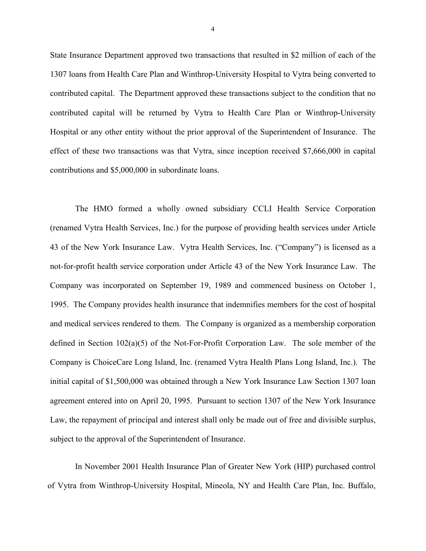State Insurance Department approved two transactions that resulted in \$2 million of each of the 1307 loans from Health Care Plan and Winthrop-University Hospital to Vytra being converted to contributed capital. The Department approved these transactions subject to the condition that no contributed capital will be returned by Vytra to Health Care Plan or Winthrop-University Hospital or any other entity without the prior approval of the Superintendent of Insurance. The effect of these two transactions was that Vytra, since inception received \$7,666,000 in capital contributions and \$5,000,000 in subordinate loans.

The HMO formed a wholly owned subsidiary CCLI Health Service Corporation (renamed Vytra Health Services, Inc.) for the purpose of providing health services under Article 43 of the New York Insurance Law. Vytra Health Services, Inc. ("Company") is licensed as a not-for-profit health service corporation under Article 43 of the New York Insurance Law. The Company was incorporated on September 19, 1989 and commenced business on October 1, 1995. The Company provides health insurance that indemnifies members for the cost of hospital and medical services rendered to them. The Company is organized as a membership corporation defined in Section 102(a)(5) of the Not-For-Profit Corporation Law. The sole member of the Company is ChoiceCare Long Island, Inc. (renamed Vytra Health Plans Long Island, Inc.). The initial capital of \$1,500,000 was obtained through a New York Insurance Law Section 1307 loan agreement entered into on April 20, 1995. Pursuant to section 1307 of the New York Insurance Law, the repayment of principal and interest shall only be made out of free and divisible surplus, subject to the approval of the Superintendent of Insurance.

In November 2001 Health Insurance Plan of Greater New York (HIP) purchased control of Vytra from Winthrop-University Hospital, Mineola, NY and Health Care Plan, Inc. Buffalo,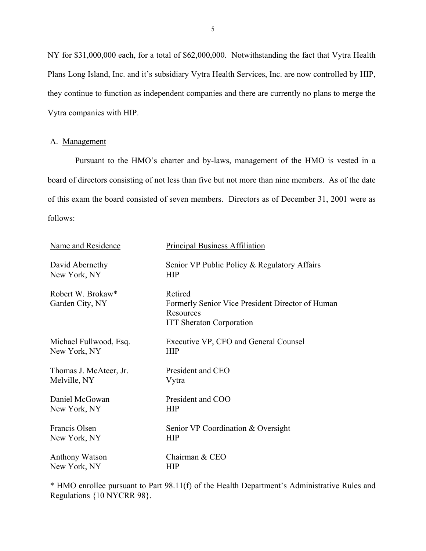<span id="page-6-0"></span>NY for \$31,000,000 each, for a total of \$62,000,000. Notwithstanding the fact that Vytra Health Plans Long Island, Inc. and it's subsidiary Vytra Health Services, Inc. are now controlled by HIP, they continue to function as independent companies and there are currently no plans to merge the Vytra companies with HIP.

#### A. Management

Pursuant to the HMO's charter and by-laws, management of the HMO is vested in a board of directors consisting of not less than five but not more than nine members. As of the date of this exam the board consisted of seven members. Directors as of December 31, 2001 were as follows:

| Name and Residence                   | <b>Principal Business Affiliation</b>                                                                       |
|--------------------------------------|-------------------------------------------------------------------------------------------------------------|
| David Abernethy                      | Senior VP Public Policy & Regulatory Affairs                                                                |
| New York, NY                         | <b>HIP</b>                                                                                                  |
| Robert W. Brokaw*<br>Garden City, NY | Retired<br>Formerly Senior Vice President Director of Human<br>Resources<br><b>ITT Sheraton Corporation</b> |
| Michael Fullwood, Esq.               | Executive VP, CFO and General Counsel                                                                       |
| New York, NY                         | <b>HIP</b>                                                                                                  |
| Thomas J. McAteer, Jr.               | President and CEO                                                                                           |
| Melville, NY                         | Vytra                                                                                                       |
| Daniel McGowan                       | President and COO                                                                                           |
| New York, NY                         | <b>HIP</b>                                                                                                  |
| Francis Olsen                        | Senior VP Coordination & Oversight                                                                          |
| New York, NY                         | <b>HIP</b>                                                                                                  |
| Anthony Watson                       | Chairman & CEO                                                                                              |
| New York, NY                         | <b>HIP</b>                                                                                                  |

\* HMO enrollee pursuant to Part 98.11(f) of the Health Department's Administrative Rules and Regulations {10 NYCRR 98}.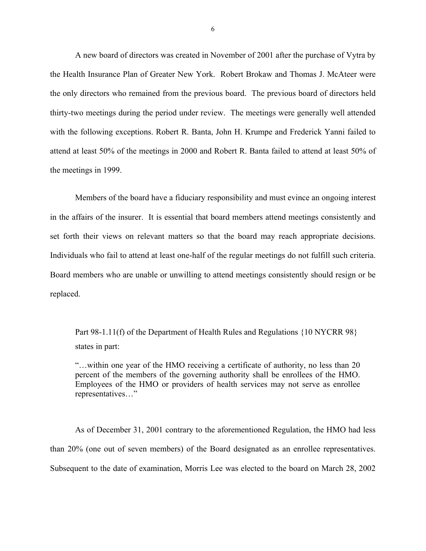A new board of directors was created in November of 2001 after the purchase of Vytra by the Health Insurance Plan of Greater New York. Robert Brokaw and Thomas J. McAteer were the only directors who remained from the previous board. The previous board of directors held thirty-two meetings during the period under review. The meetings were generally well attended with the following exceptions. Robert R. Banta, John H. Krumpe and Frederick Yanni failed to attend at least 50% of the meetings in 2000 and Robert R. Banta failed to attend at least 50% of the meetings in 1999.

 Individuals who fail to attend at least one-half of the regular meetings do not fulfill such criteria. Board members who are unable or unwilling to attend meetings consistently should resign or be Members of the board have a fiduciary responsibility and must evince an ongoing interest in the affairs of the insurer. It is essential that board members attend meetings consistently and set forth their views on relevant matters so that the board may reach appropriate decisions. replaced.

Part 98-1.11(f) of the Department of Health Rules and Regulations {10 NYCRR 98} states in part:

"…within one year of the HMO receiving a certificate of authority, no less than 20 percent of the members of the governing authority shall be enrollees of the HMO. Employees of the HMO or providers of health services may not serve as enrollee representatives…"

 than 20% (one out of seven members) of the Board designated as an enrollee representatives. Subsequent to the date of examination, Morris Lee was elected to the board on March 28, 2002 As of December 31, 2001 contrary to the aforementioned Regulation, the HMO had less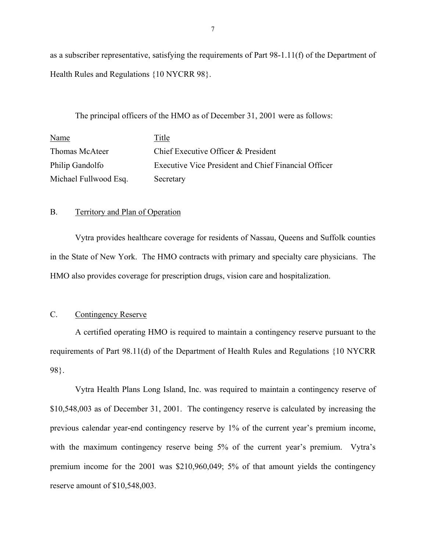as a subscriber representative, satisfying the requirements of Part 98-1.11(f) of the Department of Health Rules and Regulations {10 NYCRR 98}.

The principal officers of the HMO as of December 31, 2001 were as follows:

| Name                  | Title                                                |
|-----------------------|------------------------------------------------------|
| Thomas McAteer        | Chief Executive Officer & President                  |
| Philip Gandolfo       | Executive Vice President and Chief Financial Officer |
| Michael Fullwood Esq. | Secretary                                            |

### B. Territory and Plan of Operation

Vytra provides healthcare coverage for residents of Nassau, Queens and Suffolk counties in the State of New York. The HMO contracts with primary and specialty care physicians. The HMO also provides coverage for prescription drugs, vision care and hospitalization.

### C. Contingency Reserve

A certified operating HMO is required to maintain a contingency reserve pursuant to the requirements of Part 98.11(d) of the Department of Health Rules and Regulations {10 NYCRR 98}.

Vytra Health Plans Long Island, Inc. was required to maintain a contingency reserve of \$10,548,003 as of December 31, 2001. The contingency reserve is calculated by increasing the previous calendar year-end contingency reserve by 1% of the current year's premium income, with the maximum contingency reserve being 5% of the current year's premium. Vytra's premium income for the 2001 was \$210,960,049; 5% of that amount yields the contingency reserve amount of \$10,548,003.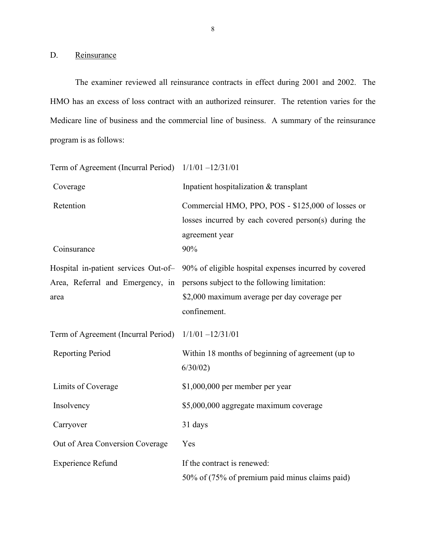D. Reinsurance

The examiner reviewed all reinsurance contracts in effect during 2001 and 2002. The HMO has an excess of loss contract with an authorized reinsurer. The retention varies for the Medicare line of business and the commercial line of business. A summary of the reinsurance program is as follows:

| Term of Agreement (Incurral Period) 1/1/01 -12/31/01 |                                                                                                                                    |
|------------------------------------------------------|------------------------------------------------------------------------------------------------------------------------------------|
| Coverage                                             | Inpatient hospitalization & transplant                                                                                             |
| Retention<br>Coinsurance                             | Commercial HMO, PPO, POS - \$125,000 of losses or<br>losses incurred by each covered person(s) during the<br>agreement year<br>90% |
|                                                      | Hospital in-patient services Out-of- 90% of eligible hospital expenses incurred by covered                                         |
| Area, Referral and Emergency, in                     | persons subject to the following limitation:                                                                                       |
| area                                                 | \$2,000 maximum average per day coverage per<br>confinement.                                                                       |
| Term of Agreement (Incurral Period) 1/1/01 -12/31/01 |                                                                                                                                    |
| <b>Reporting Period</b>                              | Within 18 months of beginning of agreement (up to<br>6/30/02                                                                       |
| Limits of Coverage                                   | $$1,000,000$ per member per year                                                                                                   |
| Insolvency                                           | \$5,000,000 aggregate maximum coverage                                                                                             |
| Carryover                                            | 31 days                                                                                                                            |
| Out of Area Conversion Coverage                      | Yes                                                                                                                                |
| <b>Experience Refund</b>                             | If the contract is renewed:<br>50% of (75% of premium paid minus claims paid)                                                      |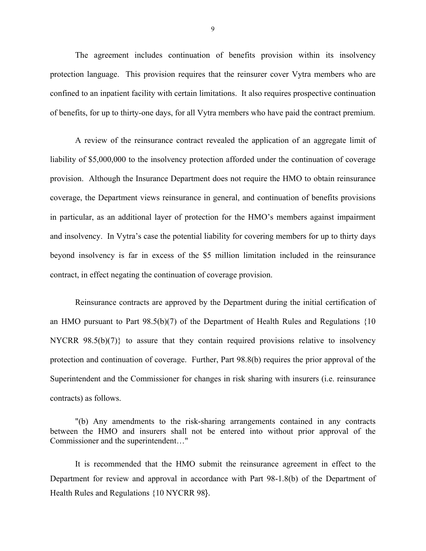The agreement includes continuation of benefits provision within its insolvency protection language. This provision requires that the reinsurer cover Vytra members who are confined to an inpatient facility with certain limitations. It also requires prospective continuation of benefits, for up to thirty-one days, for all Vytra members who have paid the contract premium.

A review of the reinsurance contract revealed the application of an aggregate limit of liability of \$5,000,000 to the insolvency protection afforded under the continuation of coverage provision. Although the Insurance Department does not require the HMO to obtain reinsurance coverage, the Department views reinsurance in general, and continuation of benefits provisions in particular, as an additional layer of protection for the HMO's members against impairment and insolvency. In Vytra's case the potential liability for covering members for up to thirty days beyond insolvency is far in excess of the \$5 million limitation included in the reinsurance contract, in effect negating the continuation of coverage provision.

Reinsurance contracts are approved by the Department during the initial certification of an HMO pursuant to Part 98.5(b)(7) of the Department of Health Rules and Regulations {10 NYCRR 98.5(b)(7)} to assure that they contain required provisions relative to insolvency protection and continuation of coverage. Further, Part 98.8(b) requires the prior approval of the Superintendent and the Commissioner for changes in risk sharing with insurers (i.e. reinsurance contracts) as follows.

"(b) Any amendments to the risk-sharing arrangements contained in any contracts between the HMO and insurers shall not be entered into without prior approval of the Commissioner and the superintendent…"

It is recommended that the HMO submit the reinsurance agreement in effect to the Department for review and approval in accordance with Part 98-1.8(b) of the Department of Health Rules and Regulations {10 NYCRR 98}.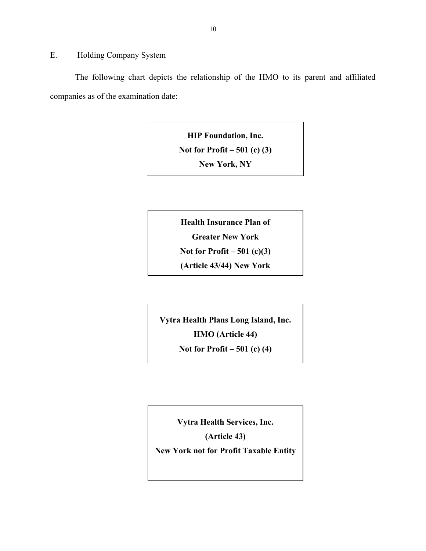### <span id="page-11-0"></span>E. Holding Company System

The following chart depicts the relationship of the HMO to its parent and affiliated companies as of the examination date:

> **HIP Foundation, Inc. Not for Profit – 501 (c) (3) New York, NY Health Insurance Plan of Greater New York Not for Profit – 501 (c)(3) (Article 43/44) New York Vytra Health Plans Long Island, Inc. HMO (Article 44) Not for Profit – 501 (c) (4) Vytra Health Services, Inc. (Article 43) New York not for Profit Taxable Entity**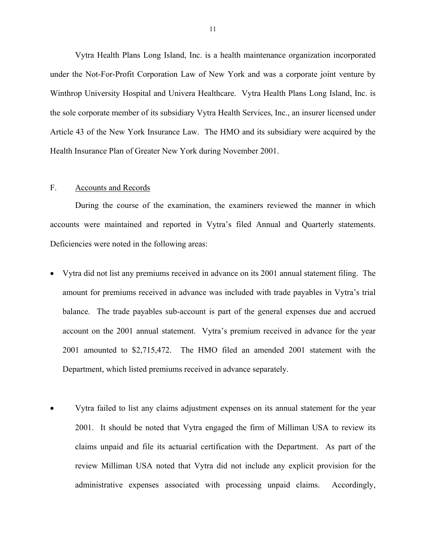<span id="page-12-0"></span>Vytra Health Plans Long Island, Inc. is a health maintenance organization incorporated under the Not-For-Profit Corporation Law of New York and was a corporate joint venture by Winthrop University Hospital and Univera Healthcare. Vytra Health Plans Long Island, Inc. is the sole corporate member of its subsidiary Vytra Health Services, Inc., an insurer licensed under Article 43 of the New York Insurance Law. The HMO and its subsidiary were acquired by the Health Insurance Plan of Greater New York during November 2001.

#### F. Accounts and Records

During the course of the examination, the examiners reviewed the manner in which accounts were maintained and reported in Vytra's filed Annual and Quarterly statements. Deficiencies were noted in the following areas:

- Vytra did not list any premiums received in advance on its 2001 annual statement filing. The amount for premiums received in advance was included with trade payables in Vytra's trial balance. The trade payables sub-account is part of the general expenses due and accrued account on the 2001 annual statement. Vytra's premium received in advance for the year 2001 amounted to \$2,715,472. The HMO filed an amended 2001 statement with the Department, which listed premiums received in advance separately.
- Vytra failed to list any claims adjustment expenses on its annual statement for the year 2001. It should be noted that Vytra engaged the firm of Milliman USA to review its claims unpaid and file its actuarial certification with the Department. As part of the review Milliman USA noted that Vytra did not include any explicit provision for the administrative expenses associated with processing unpaid claims. Accordingly,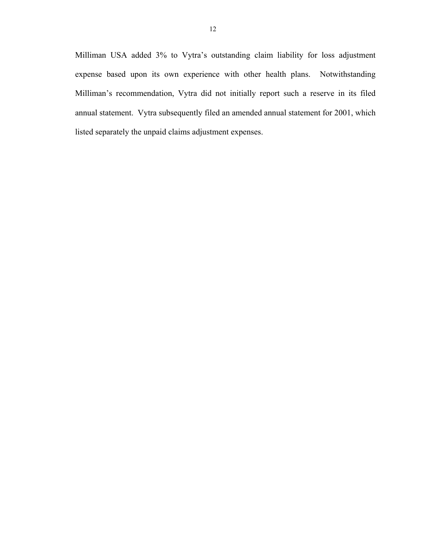Milliman USA added 3% to Vytra's outstanding claim liability for loss adjustment expense based upon its own experience with other health plans. Notwithstanding Milliman's recommendation, Vytra did not initially report such a reserve in its filed annual statement. Vytra subsequently filed an amended annual statement for 2001, which listed separately the unpaid claims adjustment expenses.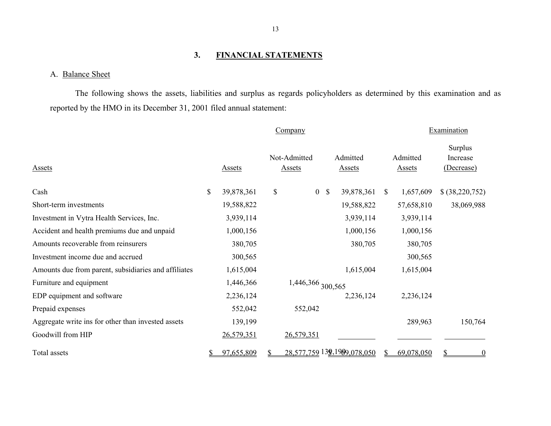#### **3. FINANCIAL STATEMENTS**

#### A. Balance Sheet

The following shows the assets, liabilities and surplus as regards policyholders as determined by this examination and as reported by the HMO in its December 31, 2001 filed annual statement:

|                                                      |          |               |                               | Company                     |              |                           |    |                           | Examination                       |  |
|------------------------------------------------------|----------|---------------|-------------------------------|-----------------------------|--------------|---------------------------|----|---------------------------|-----------------------------------|--|
| Assets                                               |          | <b>Assets</b> | Not-Admitted<br><b>Assets</b> |                             |              | Admitted<br><b>Assets</b> |    | Admitted<br><b>Assets</b> | Surplus<br>Increase<br>(Decrease) |  |
| Cash                                                 | \$       | 39,878,361    | \$                            | $\overline{0}$              | $\mathbb{S}$ | 39,878,361                | S. | 1,657,609                 | \$ (38,220,752)                   |  |
| Short-term investments                               |          | 19,588,822    |                               |                             |              | 19,588,822                |    | 57,658,810                | 38,069,988                        |  |
| Investment in Vytra Health Services, Inc.            |          | 3,939,114     |                               |                             |              | 3,939,114                 |    | 3,939,114                 |                                   |  |
| Accident and health premiums due and unpaid          |          | 1,000,156     |                               |                             |              | 1,000,156                 |    | 1,000,156                 |                                   |  |
| Amounts recoverable from reinsurers                  |          | 380,705       |                               |                             |              | 380,705                   |    | 380,705                   |                                   |  |
| Investment income due and accrued                    |          | 300,565       |                               |                             |              |                           |    | 300,565                   |                                   |  |
| Amounts due from parent, subsidiaries and affiliates |          | 1,615,004     |                               |                             |              | 1,615,004                 |    | 1,615,004                 |                                   |  |
| Furniture and equipment                              |          | 1,446,366     |                               | 1,446,366 300,565           |              |                           |    |                           |                                   |  |
| EDP equipment and software                           |          | 2,236,124     |                               |                             |              | 2,236,124                 |    | 2,236,124                 |                                   |  |
| Prepaid expenses                                     |          | 552,042       |                               | 552,042                     |              |                           |    |                           |                                   |  |
| Aggregate write ins for other than invested assets   |          | 139,199       |                               |                             |              |                           |    | 289,963                   | 150,764                           |  |
| Goodwill from HIP                                    |          | 26,579,351    |                               | 26,579,351                  |              |                           |    |                           |                                   |  |
| Total assets                                         | <u>s</u> | 97,655,809    |                               | 28,577,759 139,1989,078,050 |              |                           |    | 69,078,050                | $\overline{0}$                    |  |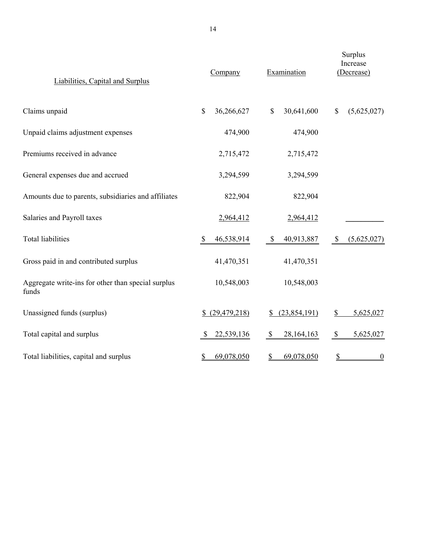| Liabilities, Capital and Surplus                            | Company                | Examination               | Surplus<br>Increase<br>(Decrease) |  |  |
|-------------------------------------------------------------|------------------------|---------------------------|-----------------------------------|--|--|
| Claims unpaid                                               | \$<br>36,266,627       | $\mathbb S$<br>30,641,600 | (5,625,027)<br>$\mathcal{S}$      |  |  |
| Unpaid claims adjustment expenses                           | 474,900                | 474,900                   |                                   |  |  |
| Premiums received in advance                                | 2,715,472              | 2,715,472                 |                                   |  |  |
| General expenses due and accrued                            | 3,294,599              | 3,294,599                 |                                   |  |  |
| Amounts due to parents, subsidiaries and affiliates         | 822,904                | 822,904                   |                                   |  |  |
| Salaries and Payroll taxes                                  | 2,964,412              | 2,964,412                 |                                   |  |  |
| <b>Total liabilities</b>                                    | 46,538,914<br><b>S</b> | \$<br>40,913,887          | (5,625,027)<br>$\mathcal{S}$      |  |  |
| Gross paid in and contributed surplus                       | 41,470,351             | 41,470,351                |                                   |  |  |
| Aggregate write-ins for other than special surplus<br>funds | 10,548,003             | 10,548,003                |                                   |  |  |
| Unassigned funds (surplus)                                  | \$ (29,479,218)        | (23,854,191)<br>\$        | $\frac{1}{2}$<br>5,625,027        |  |  |
| Total capital and surplus                                   | 22,539,136<br>\$       | \$<br>28, 164, 163        | $\$$<br>5,625,027                 |  |  |
| Total liabilities, capital and surplus                      | 69,078,050<br>\$       | 69,078,050<br>\$          | \$<br>$\overline{0}$              |  |  |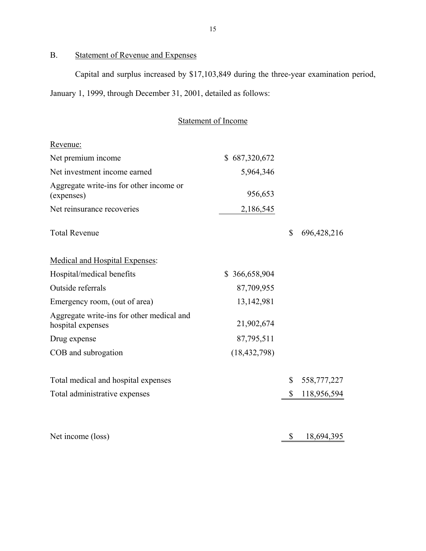## B. Statement of Revenue and Expenses

Capital and surplus increased by \$17,103,849 during the three-year examination period, January 1, 1999, through December 31, 2001, detailed as follows:

|                                                       | Statement of Income |
|-------------------------------------------------------|---------------------|
| Revenue:                                              |                     |
| Net premium income                                    | \$687,320,672       |
| Net investment income earned                          | 5,964,346           |
| Aggregate write-ins for other income or<br>(expenses) | 956,653             |
| Net reinsurance recoveries                            | 2,186,545           |

Total Revenue \$ 696,428,216

|--|

| Hospital/medical benefits                                      | \$366,658,904  |              |           |
|----------------------------------------------------------------|----------------|--------------|-----------|
| Outside referrals                                              | 87,709,955     |              |           |
| Emergency room, (out of area)                                  | 13,142,981     |              |           |
| Aggregate write-ins for other medical and<br>hospital expenses | 21,902,674     |              |           |
| Drug expense                                                   | 87,795,511     |              |           |
| COB and subrogation                                            | (18, 432, 798) |              |           |
| Total medical and hospital expenses                            |                | $\mathbb{C}$ | 558777777 |

| Total administrative expenses       | \$118,956,594          |
|-------------------------------------|------------------------|
| Total medical and hospital expenses | $J$ $J$ $J$ $(11, 22)$ |

| Net income (loss) | 18,694,395 |
|-------------------|------------|
|                   |            |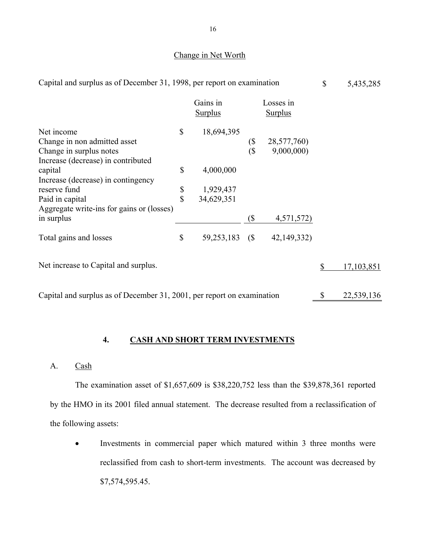### Change in Net Worth

| Capital and surplus as of December 31, 1998, per report on examination                                             |               |                            |            |                             | \$<br>5,435,285  |
|--------------------------------------------------------------------------------------------------------------------|---------------|----------------------------|------------|-----------------------------|------------------|
|                                                                                                                    |               | Gains in<br><b>Surplus</b> |            | Losses in<br><b>Surplus</b> |                  |
| Net income<br>Change in non admitted asset<br>Change in surplus notes<br>Increase (decrease) in contributed        | \$            | 18,694,395                 | (\$<br>(\$ | 28,577,760)<br>9,000,000)   |                  |
| capital                                                                                                            | \$            | 4,000,000                  |            |                             |                  |
| Increase (decrease) in contingency<br>reserve fund<br>Paid in capital<br>Aggregate write-ins for gains or (losses) | $\frac{1}{3}$ | 1,929,437<br>34,629,351    |            |                             |                  |
| in surplus                                                                                                         |               |                            | (          | 4,571,572)                  |                  |
| Total gains and losses                                                                                             | \$            | 59,253,183                 | (S         | 42,149,332)                 |                  |
| Net increase to Capital and surplus.                                                                               |               |                            |            |                             | \$<br>17,103,851 |
| Capital and surplus as of December 31, 2001, per report on examination                                             |               |                            |            |                             | \$<br>22,539,136 |

### **4. CASH AND SHORT TERM INVESTMENTS**

A. Cash

The examination asset of \$1,657,609 is \$38,220,752 less than the \$39,878,361 reported by the HMO in its 2001 filed annual statement. The decrease resulted from a reclassification of the following assets:

• Investments in commercial paper which matured within 3 three months were reclassified from cash to short-term investments. The account was decreased by \$[7,574,595.45.](https://7,574,595.45)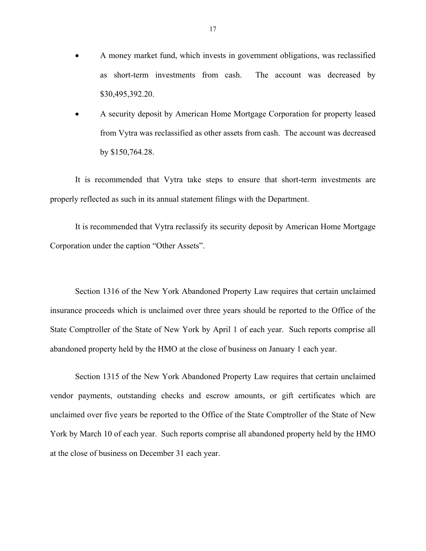- A money market fund, which invests in government obligations, was reclassified as short-term investments from cash. The account was decreased by \$[30,495,392.20](https://30,495,392.20).
- A security deposit by American Home Mortgage Corporation for property leased from Vytra was reclassified as other assets from cash. The account was decreased by \$[150,764.28](https://150,764.28).

It is recommended that Vytra take steps to ensure that short-term investments are properly reflected as such in its annual statement filings with the Department.

It is recommended that Vytra reclassify its security deposit by American Home Mortgage Corporation under the caption "Other Assets".

Section 1316 of the New York Abandoned Property Law requires that certain unclaimed insurance proceeds which is unclaimed over three years should be reported to the Office of the State Comptroller of the State of New York by April 1 of each year. Such reports comprise all abandoned property held by the HMO at the close of business on January 1 each year.

Section 1315 of the New York Abandoned Property Law requires that certain unclaimed vendor payments, outstanding checks and escrow amounts, or gift certificates which are unclaimed over five years be reported to the Office of the State Comptroller of the State of New York by March 10 of each year. Such reports comprise all abandoned property held by the HMO at the close of business on December 31 each year.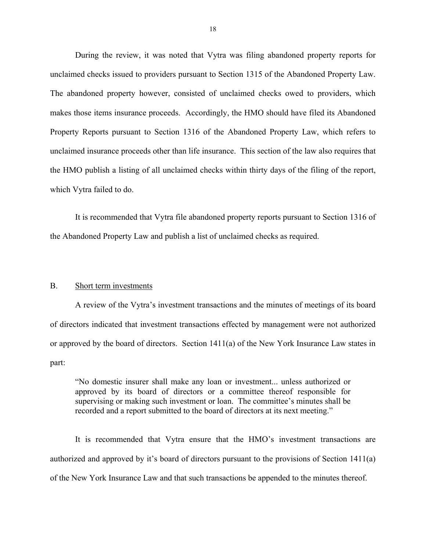<span id="page-19-0"></span>During the review, it was noted that Vytra was filing abandoned property reports for unclaimed checks issued to providers pursuant to Section 1315 of the Abandoned Property Law. The abandoned property however, consisted of unclaimed checks owed to providers, which makes those items insurance proceeds. Accordingly, the HMO should have filed its Abandoned Property Reports pursuant to Section 1316 of the Abandoned Property Law, which refers to unclaimed insurance proceeds other than life insurance. This section of the law also requires that the HMO publish a listing of all unclaimed checks within thirty days of the filing of the report, which Vytra failed to do.

It is recommended that Vytra file abandoned property reports pursuant to Section 1316 of the Abandoned Property Law and publish a list of unclaimed checks as required.

#### B. Short term investments

A review of the Vytra's investment transactions and the minutes of meetings of its board of directors indicated that investment transactions effected by management were not authorized or approved by the board of directors. Section 1411(a) of the New York Insurance Law states in part:

"No domestic insurer shall make any loan or investment... unless authorized or approved by its board of directors or a committee thereof responsible for supervising or making such investment or loan. The committee's minutes shall be recorded and a report submitted to the board of directors at its next meeting."

It is recommended that Vytra ensure that the HMO's investment transactions are authorized and approved by it's board of directors pursuant to the provisions of Section 1411(a) of the New York Insurance Law and that such transactions be appended to the minutes thereof.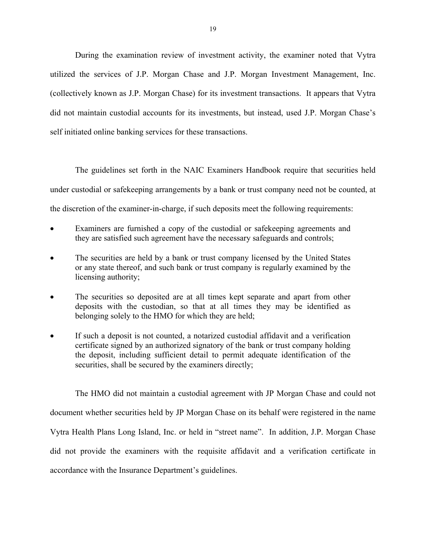During the examination review of investment activity, the examiner noted that Vytra utilized the services of J.P. Morgan Chase and J.P. Morgan Investment Management, Inc. (collectively known as J.P. Morgan Chase) for its investment transactions. It appears that Vytra did not maintain custodial accounts for its investments, but instead, used J.P. Morgan Chase's self initiated online banking services for these transactions.

The guidelines set forth in the NAIC Examiners Handbook require that securities held under custodial or safekeeping arrangements by a bank or trust company need not be counted, at the discretion of the examiner-in-charge, if such deposits meet the following requirements:

- Examiners are furnished a copy of the custodial or safekeeping agreements and they are satisfied such agreement have the necessary safeguards and controls;
- The securities are held by a bank or trust company licensed by the United States or any state thereof, and such bank or trust company is regularly examined by the licensing authority;
- The securities so deposited are at all times kept separate and apart from other deposits with the custodian, so that at all times they may be identified as belonging solely to the HMO for which they are held;
- If such a deposit is not counted, a notarized custodial affidavit and a verification certificate signed by an authorized signatory of the bank or trust company holding the deposit, including sufficient detail to permit adequate identification of the securities, shall be secured by the examiners directly;

The HMO did not maintain a custodial agreement with JP Morgan Chase and could not document whether securities held by JP Morgan Chase on its behalf were registered in the name Vytra Health Plans Long Island, Inc. or held in "street name". In addition, J.P. Morgan Chase did not provide the examiners with the requisite affidavit and a verification certificate in accordance with the Insurance Department's guidelines.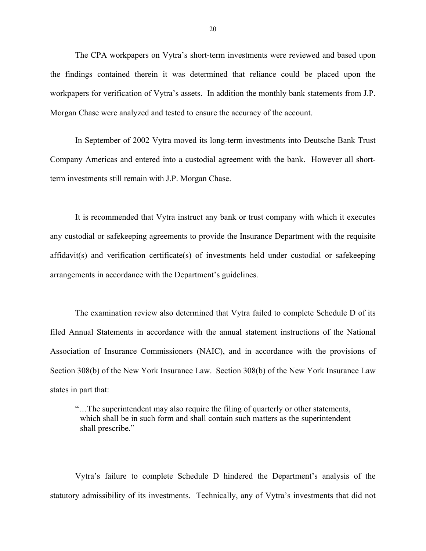The CPA workpapers on Vytra's short-term investments were reviewed and based upon the findings contained therein it was determined that reliance could be placed upon the workpapers for verification of Vytra's assets. In addition the monthly bank statements from J.P. Morgan Chase were analyzed and tested to ensure the accuracy of the account.

In September of 2002 Vytra moved its long-term investments into Deutsche Bank Trust Company Americas and entered into a custodial agreement with the bank. However all shortterm investments still remain with J.P. Morgan Chase.

It is recommended that Vytra instruct any bank or trust company with which it executes any custodial or safekeeping agreements to provide the Insurance Department with the requisite affidavit(s) and verification certificate(s) of investments held under custodial or safekeeping arrangements in accordance with the Department's guidelines.

The examination review also determined that Vytra failed to complete Schedule D of its filed Annual Statements in accordance with the annual statement instructions of the National Association of Insurance Commissioners (NAIC), and in accordance with the provisions of Section 308(b) of the New York Insurance Law. Section 308(b) of the New York Insurance Law states in part that:

"…The superintendent may also require the filing of quarterly or other statements, which shall be in such form and shall contain such matters as the superintendent shall prescribe."

Vytra's failure to complete Schedule D hindered the Department's analysis of the statutory admissibility of its investments. Technically, any of Vytra's investments that did not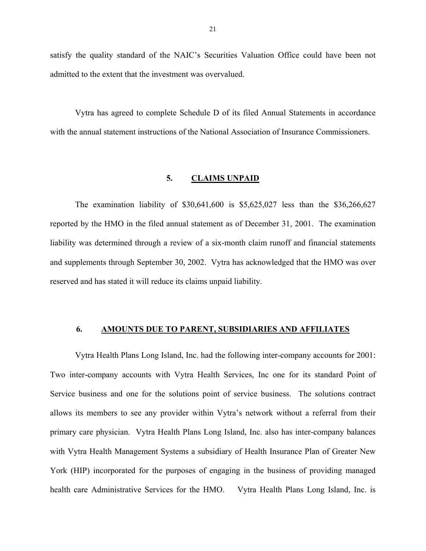<span id="page-22-0"></span>satisfy the quality standard of the NAIC's Securities Valuation Office could have been not admitted to the extent that the investment was overvalued.

Vytra has agreed to complete Schedule D of its filed Annual Statements in accordance with the annual statement instructions of the National Association of Insurance Commissioners.

#### **5. CLAIMS UNPAID**

The examination liability of \$30,641,600 is \$5,625,027 less than the \$36,266,627 reported by the HMO in the filed annual statement as of December 31, 2001. The examination liability was determined through a review of a six-month claim runoff and financial statements and supplements through September 30, 2002. Vytra has acknowledged that the HMO was over reserved and has stated it will reduce its claims unpaid liability.

#### **6. AMOUNTS DUE TO PARENT, SUBSIDIARIES AND AFFILIATES**

Vytra Health Plans Long Island, Inc. had the following inter-company accounts for 2001: health care Administrative Services for the HMO. Vytra Health Plans Long Island, Inc. is Two inter-company accounts with Vytra Health Services, Inc one for its standard Point of Service business and one for the solutions point of service business. The solutions contract allows its members to see any provider within Vytra's network without a referral from their primary care physician. Vytra Health Plans Long Island, Inc. also has inter-company balances with Vytra Health Management Systems a subsidiary of Health Insurance Plan of Greater New York (HIP) incorporated for the purposes of engaging in the business of providing managed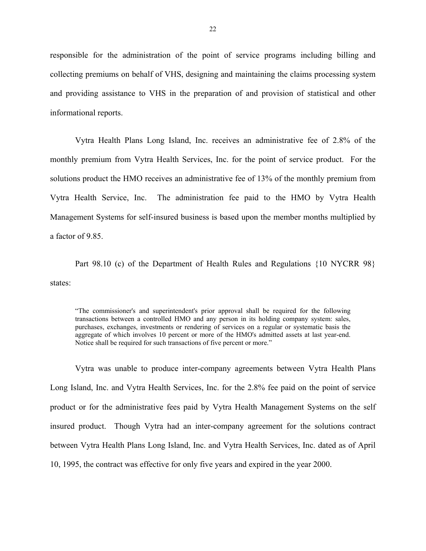responsible for the administration of the point of service programs including billing and collecting premiums on behalf of VHS, designing and maintaining the claims processing system and providing assistance to VHS in the preparation of and provision of statistical and other informational reports.

Vytra Health Plans Long Island, Inc. receives an administrative fee of 2.8% of the monthly premium from Vytra Health Services, Inc. for the point of service product. For the solutions product the HMO receives an administrative fee of 13% of the monthly premium from Vytra Health Service, Inc. The administration fee paid to the HMO by Vytra Health Management Systems for self-insured business is based upon the member months multiplied by a factor of 9.85.

Part 98.10 (c) of the Department of Health Rules and Regulations {10 NYCRR 98} states:

"The commissioner's and superintendent's prior approval shall be required for the following transactions between a controlled HMO and any person in its holding company system: sales, purchases, exchanges, investments or rendering of services on a regular or systematic basis the aggregate of which involves 10 percent or more of the HMO's admitted assets at last year-end. Notice shall be required for such transactions of five percent or more."

Vytra was unable to produce inter-company agreements between Vytra Health Plans Long Island, Inc. and Vytra Health Services, Inc. for the 2.8% fee paid on the point of service product or for the administrative fees paid by Vytra Health Management Systems on the self insured product. Though Vytra had an inter-company agreement for the solutions contract between Vytra Health Plans Long Island, Inc. and Vytra Health Services, Inc. dated as of April 10, 1995, the contract was effective for only five years and expired in the year 2000.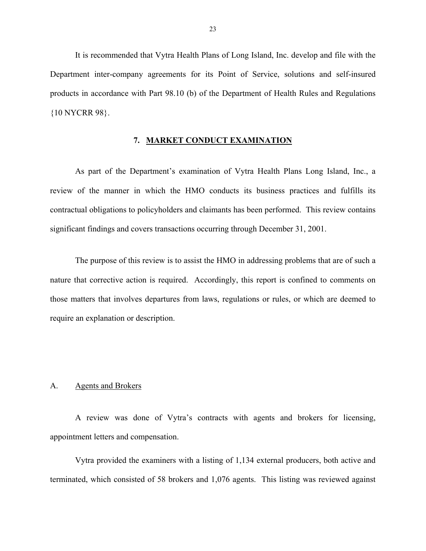<span id="page-24-0"></span>It is recommended that Vytra Health Plans of Long Island, Inc. develop and file with the Department inter-company agreements for its Point of Service, solutions and self-insured products in accordance with Part 98.10 (b) of the Department of Health Rules and Regulations {10 NYCRR 98}.

#### **7. MARKET CONDUCT EXAMINATION**

As part of the Department's examination of Vytra Health Plans Long Island, Inc., a review of the manner in which the HMO conducts its business practices and fulfills its contractual obligations to policyholders and claimants has been performed. This review contains significant findings and covers transactions occurring through December 31, 2001.

The purpose of this review is to assist the HMO in addressing problems that are of such a nature that corrective action is required. Accordingly, this report is confined to comments on those matters that involves departures from laws, regulations or rules, or which are deemed to require an explanation or description.

#### A. Agents and Brokers

A review was done of Vytra's contracts with agents and brokers for licensing, appointment letters and compensation.

Vytra provided the examiners with a listing of 1,134 external producers, both active and terminated, which consisted of 58 brokers and 1,076 agents. This listing was reviewed against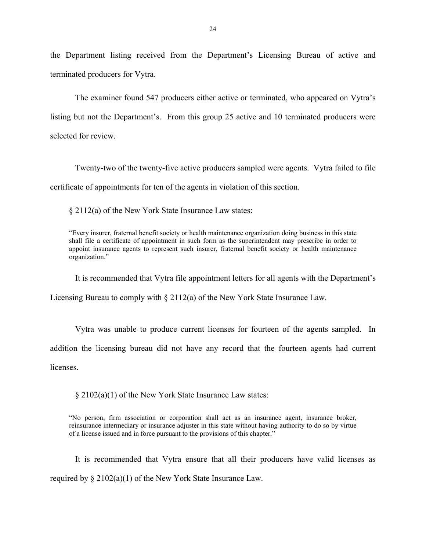the Department listing received from the Department's Licensing Bureau of active and terminated producers for Vytra.

The examiner found 547 producers either active or terminated, who appeared on Vytra's listing but not the Department's. From this group 25 active and 10 terminated producers were selected for review.

Twenty-two of the twenty-five active producers sampled were agents. Vytra failed to file certificate of appointments for ten of the agents in violation of this section.

§ 2112(a) of the New York State Insurance Law states:

 shall file a certificate of appointment in such form as the superintendent may prescribe in order to "Every insurer, fraternal benefit society or health maintenance organization doing business in this state appoint insurance agents to represent such insurer, fraternal benefit society or health maintenance organization."

It is recommended that Vytra file appointment letters for all agents with the Department's

Licensing Bureau to comply with § 2112(a) of the New York State Insurance Law.

Vytra was unable to produce current licenses for fourteen of the agents sampled. In

addition the licensing bureau did not have any record that the fourteen agents had current

licenses.

§ 2102(a)(1) of the New York State Insurance Law states:

 reinsurance intermediary or insurance adjuster in this state without having authority to do so by virtue "No person, firm association or corporation shall act as an insurance agent, insurance broker, of a license issued and in force pursuant to the provisions of this chapter."

It is recommended that Vytra ensure that all their producers have valid licenses as required by  $\S 2102(a)(1)$  of the New York State Insurance Law.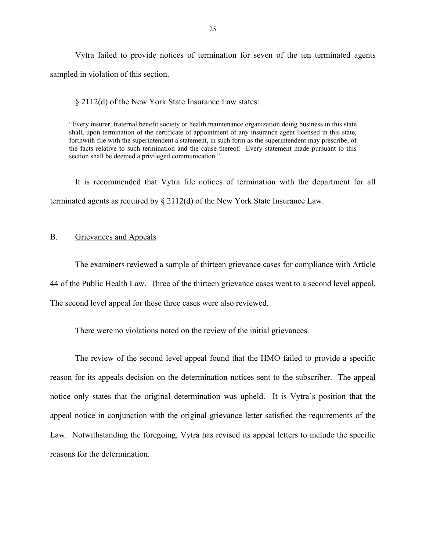<span id="page-26-0"></span>Vytra failed to provide notices of termination for seven of the ten terminated agents sampled in violation of this section.

§ 2112(d) of the New York State Insurance Law states:

"Every insurer, fraternal benefit society or health maintenance organization doing business in this state shall, upon termination of the certificate of appointment of any insurance agent licensed in this state, forthwith file with the superintendent a statement, in such form as the superintendent may prescribe, of the facts relative to such termination and the cause thereof. Every statement made pursuant to this section shall be deemed a privileged communication."

It is recommended that Vytra file notices of termination with the department for all terminated agents as required by § 2112(d) of the New York State Insurance Law.

#### B. Grievances and Appeals

The examiners reviewed a sample of thirteen grievance cases for compliance with Article 44 of the Public Health Law. Three of the thirteen grievance cases went to a second level appeal. The second level appeal for these three cases were also reviewed.

There were no violations noted on the review of the initial grievances.

The review of the second level appeal found that the HMO failed to provide a specific reason for its appeals decision on the determination notices sent to the subscriber. The appeal notice only states that the original determination was upheld. It is Vytra's position that the appeal notice in conjunction with the original grievance letter satisfied the requirements of the Law. Notwithstanding the foregoing, Vytra has revised its appeal letters to include the specific reasons for the determination.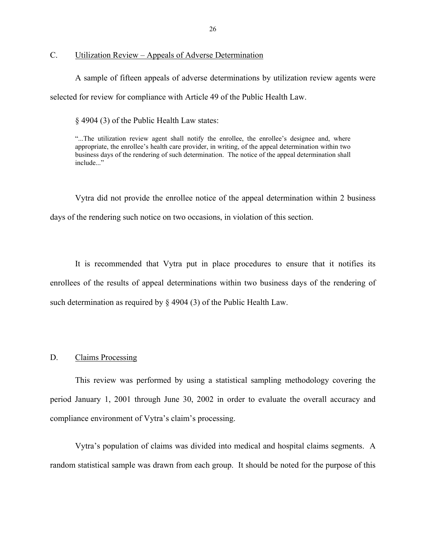<span id="page-27-0"></span>C. Utilization Review – Appeals of Adverse Determination

A sample of fifteen appeals of adverse determinations by utilization review agents were selected for review for compliance with Article 49 of the Public Health Law.

§ 4904 (3) of the Public Health Law states:

"...The utilization review agent shall notify the enrollee, the enrollee's designee and, where appropriate, the enrollee's health care provider, in writing, of the appeal determination within two business days of the rendering of such determination. The notice of the appeal determination shall include..."

Vytra did not provide the enrollee notice of the appeal determination within 2 business days of the rendering such notice on two occasions, in violation of this section.

It is recommended that Vytra put in place procedures to ensure that it notifies its enrollees of the results of appeal determinations within two business days of the rendering of such determination as required by § 4904 (3) of the Public Health Law.

#### D. Claims Processing

This review was performed by using a statistical sampling methodology covering the period January 1, 2001 through June 30, 2002 in order to evaluate the overall accuracy and compliance environment of Vytra's claim's processing.

Vytra's population of claims was divided into medical and hospital claims segments. A random statistical sample was drawn from each group. It should be noted for the purpose of this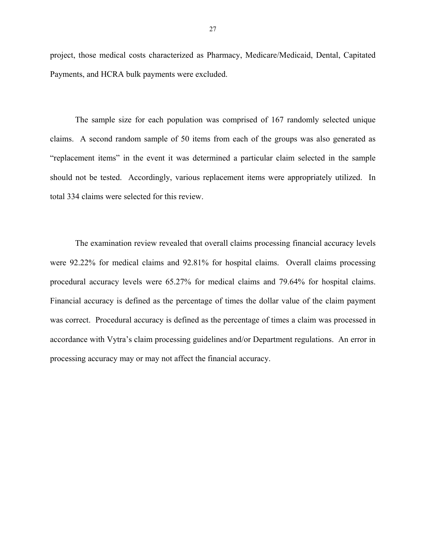project, those medical costs characterized as Pharmacy, Medicare/Medicaid, Dental, Capitated Payments, and HCRA bulk payments were excluded.

The sample size for each population was comprised of 167 randomly selected unique claims. A second random sample of 50 items from each of the groups was also generated as "replacement items" in the event it was determined a particular claim selected in the sample should not be tested. Accordingly, various replacement items were appropriately utilized. In total 334 claims were selected for this review.

 procedural accuracy levels were 65.27% for medical claims and 79.64% for hospital claims. Financial accuracy is defined as the percentage of times the dollar value of the claim payment The examination review revealed that overall claims processing financial accuracy levels were 92.22% for medical claims and 92.81% for hospital claims. Overall claims processing was correct. Procedural accuracy is defined as the percentage of times a claim was processed in accordance with Vytra's claim processing guidelines and/or Department regulations. An error in processing accuracy may or may not affect the financial accuracy.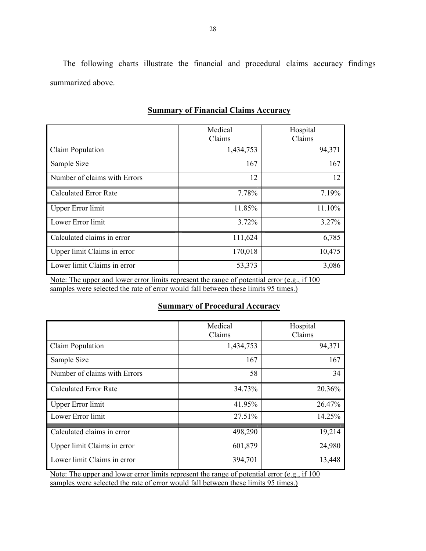The following charts illustrate the financial and procedural claims accuracy findings summarized above.

|                                         | Medical                                                                                         | Hospital        |
|-----------------------------------------|-------------------------------------------------------------------------------------------------|-----------------|
|                                         | Claims                                                                                          | Claims          |
| Claim Population                        | 1,434,753                                                                                       | 94,371          |
| Sample Size                             | 167                                                                                             | 167             |
| Number of claims with Errors            | 12                                                                                              | 12              |
| <b>Calculated Error Rate</b>            | 7.78%                                                                                           | 7.19%           |
| <b>Upper Error limit</b>                | 11.85%                                                                                          | 11.10%          |
| Lower Error limit                       | 3.72%                                                                                           | 3.27%           |
| Calculated claims in error              | 111,624                                                                                         | 6,785           |
| Upper limit Claims in error             | 170,018                                                                                         | 10,475          |
| Lower limit Claims in error             | 53,373                                                                                          | 3,086           |
| 11.7.7.7<br>COMPUTER ST<br>$\mathbf{r}$ | $\mathcal{C}$ $\mathcal{C}$ $\mathcal{C}$ $\mathcal{C}$ $\mathcal{C}$ $\mathcal{C}$<br>$\cdots$ | .0100<br>$\sim$ |

### **Summary of Financial Claims Accuracy**

Note: The upper and lower error limits represent the range of potential error  $(e.g., if 100$ samples were selected the rate of error would fall between these limits 95 times.)

### **Summary of Procedural Accuracy**

|                              | Medical<br>Claims | Hospital<br>Claims |
|------------------------------|-------------------|--------------------|
| Claim Population             | 1,434,753         | 94,371             |
| Sample Size                  | 167               | 167                |
| Number of claims with Errors | 58                | 34                 |
| <b>Calculated Error Rate</b> | 34.73%            | 20.36%             |
| <b>Upper Error limit</b>     | 41.95%            | 26.47%             |
| Lower Error limit            | 27.51%            | 14.25%             |
| Calculated claims in error   | 498,290           | 19,214             |
| Upper limit Claims in error  | 601,879           | 24,980             |
| Lower limit Claims in error  | 394,701           | 13,448             |

Note: The upper and lower error limits represent the range of potential error (e.g., if 100 samples were selected the rate of error would fall between these limits 95 times.)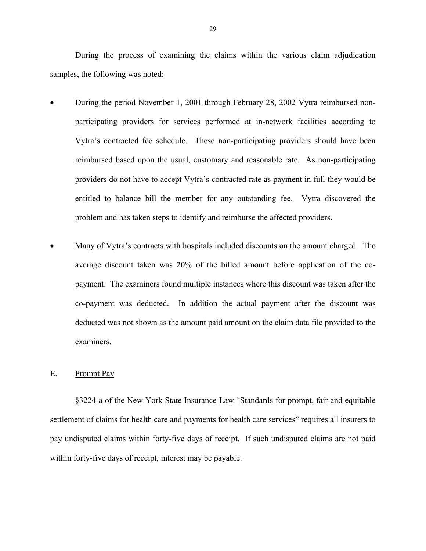<span id="page-30-0"></span>During the process of examining the claims within the various claim adjudication samples, the following was noted:

- During the period November 1, 2001 through February 28, 2002 Vytra reimbursed nonparticipating providers for services performed at in-network facilities according to Vytra's contracted fee schedule. These non-participating providers should have been reimbursed based upon the usual, customary and reasonable rate. As non-participating providers do not have to accept Vytra's contracted rate as payment in full they would be entitled to balance bill the member for any outstanding fee. Vytra discovered the problem and has taken steps to identify and reimburse the affected providers.
- Many of Vytra's contracts with hospitals included discounts on the amount charged. The average discount taken was 20% of the billed amount before application of the copayment. The examiners found multiple instances where this discount was taken after the co-payment was deducted. In addition the actual payment after the discount was deducted was not shown as the amount paid amount on the claim data file provided to the examiners.

#### E. Prompt Pay

§3224-a of the New York State Insurance Law "Standards for prompt, fair and equitable settlement of claims for health care and payments for health care services" requires all insurers to pay undisputed claims within forty-five days of receipt. If such undisputed claims are not paid within forty-five days of receipt, interest may be payable.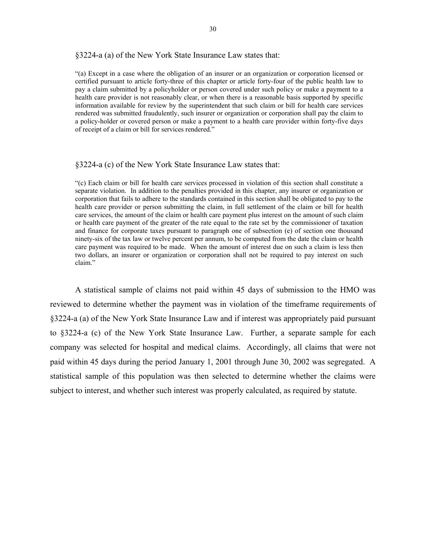#### §3224-a (a) of the New York State Insurance Law states that:

"(a) Except in a case where the obligation of an insurer or an organization or corporation licensed or certified pursuant to article forty-three of this chapter or article forty-four of the public health law to pay a claim submitted by a policyholder or person covered under such policy or make a payment to a health care provider is not reasonably clear, or when there is a reasonable basis supported by specific information available for review by the superintendent that such claim or bill for health care services rendered was submitted fraudulently, such insurer or organization or corporation shall pay the claim to a policy-holder or covered person or make a payment to a health care provider within forty-five days of receipt of a claim or bill for services rendered."

#### §3224-a (c) of the New York State Insurance Law states that:

 health care provider or person submitting the claim, in full settlement of the claim or bill for health "(c) Each claim or bill for health care services processed in violation of this section shall constitute a separate violation. In addition to the penalties provided in this chapter, any insurer or organization or corporation that fails to adhere to the standards contained in this section shall be obligated to pay to the care services, the amount of the claim or health care payment plus interest on the amount of such claim or health care payment of the greater of the rate equal to the rate set by the commissioner of taxation and finance for corporate taxes pursuant to paragraph one of subsection (e) of section one thousand ninety-six of the tax law or twelve percent per annum, to be computed from the date the claim or health care payment was required to be made. When the amount of interest due on such a claim is less then two dollars, an insurer or organization or corporation shall not be required to pay interest on such claim."

A statistical sample of claims not paid within 45 days of submission to the HMO was reviewed to determine whether the payment was in violation of the timeframe requirements of §3224-a (a) of the New York State Insurance Law and if interest was appropriately paid pursuant to §3224-a (c) of the New York State Insurance Law. Further, a separate sample for each company was selected for hospital and medical claims. Accordingly, all claims that were not paid within 45 days during the period January 1, 2001 through June 30, 2002 was segregated. A statistical sample of this population was then selected to determine whether the claims were subject to interest, and whether such interest was properly calculated, as required by statute.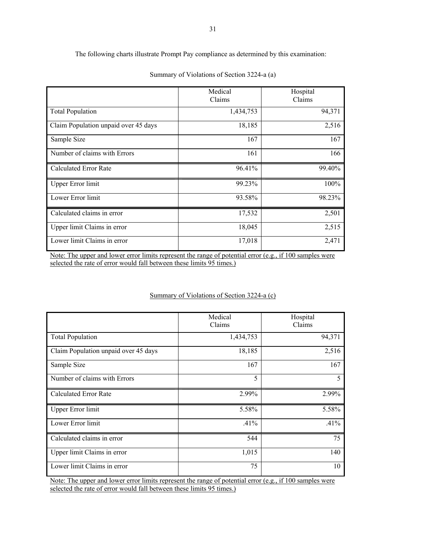The following charts illustrate Prompt Pay compliance as determined by this examination:

|                                      | Medical<br>Claims | Hospital<br>Claims |
|--------------------------------------|-------------------|--------------------|
| <b>Total Population</b>              | 1,434,753         | 94,371             |
| Claim Population unpaid over 45 days | 18,185            | 2,516              |
| Sample Size                          | 167               | 167                |
| Number of claims with Errors         | 161               | 166                |
| Calculated Error Rate                | 96.41%            | 99.40%             |
| <b>Upper Error limit</b>             | 99.23%            | 100%               |
| Lower Error limit                    | 93.58%            | 98.23%             |
| Calculated claims in error           | 17,532            | 2,501              |
| Upper limit Claims in error          | 18,045            | 2,515              |
| Lower limit Claims in error          | 17,018            | 2,471              |

Summary of Violations of Section 3224-a (a)

selected the rate of error would fall between these limits 95 times.) Note: The upper and lower error limits represent the range of potential error (e.g., if 100 samples were

#### Summary of Violations of Section 3224-a (c)

|                                      | Medical<br>Claims | Hospital<br>Claims |
|--------------------------------------|-------------------|--------------------|
| <b>Total Population</b>              | 1,434,753         | 94,371             |
| Claim Population unpaid over 45 days | 18,185            | 2,516              |
| Sample Size                          | 167               | 167                |
| Number of claims with Errors         | 5                 | 5                  |
| <b>Calculated Error Rate</b>         | 2.99%             | 2.99%              |
| <b>Upper Error limit</b>             | 5.58%             | 5.58%              |
| Lower Error limit                    | .41%              | .41%               |
| Calculated claims in error           | 544               | 75                 |
| Upper limit Claims in error          | 1,015             | 140                |
| Lower limit Claims in error          | 75                | 10                 |

 $\ddot{\phantom{a}}$ Note: The upper and lower error limits represent the range of potential error (e.g., if 100 samples were selected the rate of error would fall between these limits 95 times.)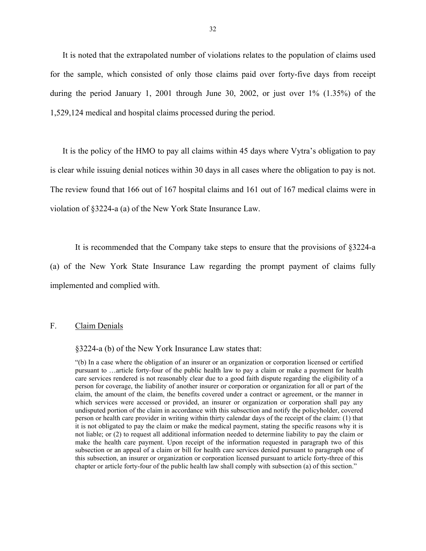<span id="page-33-0"></span>It is noted that the extrapolated number of violations relates to the population of claims used for the sample, which consisted of only those claims paid over forty-five days from receipt during the period January 1, 2001 through June 30, 2002, or just over 1% (1.35%) of the 1,529,124 medical and hospital claims processed during the period.

It is the policy of the HMO to pay all claims within 45 days where Vytra's obligation to pay is clear while issuing denial notices within 30 days in all cases where the obligation to pay is not. The review found that 166 out of 167 hospital claims and 161 out of 167 medical claims were in violation of §3224-a (a) of the New York State Insurance Law.

It is recommended that the Company take steps to ensure that the provisions of §3224-a

(a) of the New York State Insurance Law regarding the prompt payment of claims fully implemented and complied with.

#### F. Claim Denials

§3224-a (b) of the New York Insurance Law states that:

 "(b) In a case where the obligation of an insurer or an organization or corporation licensed or certified care services rendered is not reasonably clear due to a good faith dispute regarding the eligibility of a person for coverage, the liability of another insurer or corporation or organization for all or part of the pursuant to …article forty-four of the public health law to pay a claim or make a payment for health claim, the amount of the claim, the benefits covered under a contract or agreement, or the manner in which services were accessed or provided, an insurer or organization or corporation shall pay any undisputed portion of the claim in accordance with this subsection and notify the policyholder, covered person or health care provider in writing within thirty calendar days of the receipt of the claim: (1) that it is not obligated to pay the claim or make the medical payment, stating the specific reasons why it is not liable; or (2) to request all additional information needed to determine liability to pay the claim or make the health care payment. Upon receipt of the information requested in paragraph two of this subsection or an appeal of a claim or bill for health care services denied pursuant to paragraph one of this subsection, an insurer or organization or corporation licensed pursuant to article forty-three of this chapter or article forty-four of the public health law shall comply with subsection (a) of this section."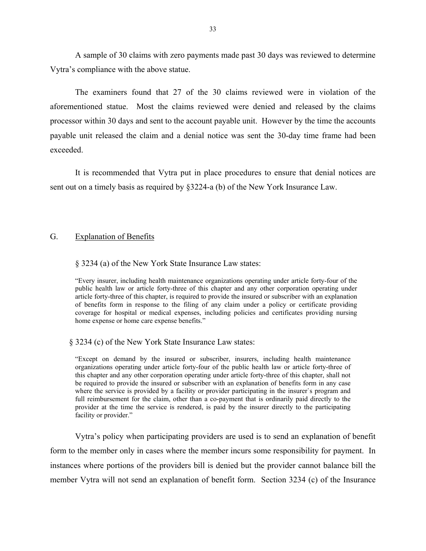<span id="page-34-0"></span>A sample of 30 claims with zero payments made past 30 days was reviewed to determine Vytra's compliance with the above statue.

The examiners found that 27 of the 30 claims reviewed were in violation of the aforementioned statue. Most the claims reviewed were denied and released by the claims processor within 30 days and sent to the account payable unit. However by the time the accounts payable unit released the claim and a denial notice was sent the 30-day time frame had been exceeded.

It is recommended that Vytra put in place procedures to ensure that denial notices are sent out on a timely basis as required by §3224-a (b) of the New York Insurance Law.

#### G. Explanation of Benefits

#### § 3234 (a) of the New York State Insurance Law states:

"Every insurer, including health maintenance organizations operating under article forty-four of the public health law or article forty-three of this chapter and any other corporation operating under article forty-three of this chapter, is required to provide the insured or subscriber with an explanation of benefits form in response to the filing of any claim under a policy or certificate providing coverage for hospital or medical expenses, including policies and certificates providing nursing home expense or home care expense benefits."

#### § 3234 (c) of the New York State Insurance Law states:

 be required to provide the insured or subscriber with an explanation of benefits form in any case "Except on demand by the insured or subscriber, insurers, including health maintenance organizations operating under article forty-four of the public health law or article forty-three of this chapter and any other corporation operating under article forty-three of this chapter, shall not where the service is provided by a facility or provider participating in the insurer`s program and full reimbursement for the claim, other than a co-payment that is ordinarily paid directly to the provider at the time the service is rendered, is paid by the insurer directly to the participating facility or provider."

Vytra's policy when participating providers are used is to send an explanation of benefit form to the member only in cases where the member incurs some responsibility for payment. In instances where portions of the providers bill is denied but the provider cannot balance bill the member Vytra will not send an explanation of benefit form. Section 3234 (c) of the Insurance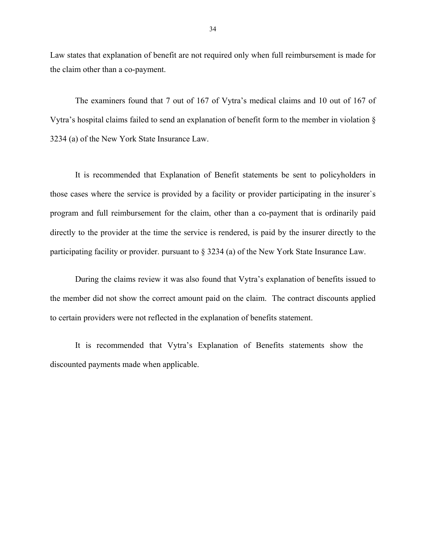Law states that explanation of benefit are not required only when full reimbursement is made for the claim other than a co-payment.

The examiners found that 7 out of 167 of Vytra's medical claims and 10 out of 167 of Vytra's hospital claims failed to send an explanation of benefit form to the member in violation § 3234 (a) of the New York State Insurance Law.

It is recommended that Explanation of Benefit statements be sent to policyholders in those cases where the service is provided by a facility or provider participating in the insurer`s program and full reimbursement for the claim, other than a co-payment that is ordinarily paid directly to the provider at the time the service is rendered, is paid by the insurer directly to the participating facility or provider. pursuant to § 3234 (a) of the New York State Insurance Law.

During the claims review it was also found that Vytra's explanation of benefits issued to the member did not show the correct amount paid on the claim. The contract discounts applied to certain providers were not reflected in the explanation of benefits statement.

It is recommended that Vytra's Explanation of Benefits statements show the discounted payments made when applicable.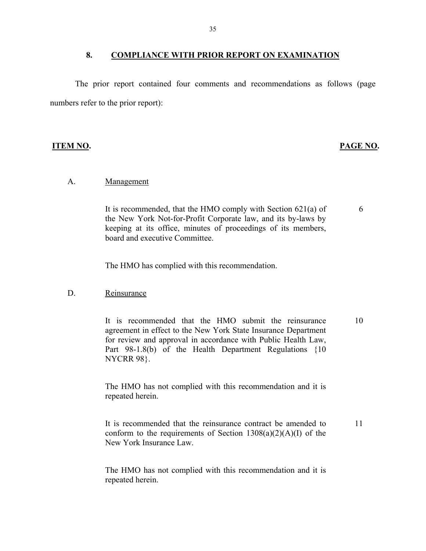#### 8. COMPLIANCE WITH PRIOR REPORT ON EXAMINATION

The prior report contained four comments and recommendations as follows (page numbers refer to the prior report):

#### **ITEM NO. PAGE NO.**

6

#### Management

A. <u>Management</u><br>It is recommended, that the HMO comply with Section 621(a) of the New York Not-for-Profit Corporate law, and its by-laws by keeping at its office, minutes of proceedings of its members, board and executive Committee.

The HMO has complied with this recommendation.

#### Reinsurance

D. Reinsurance<br>It is recommended that the HMO submit the reinsurance agreement in effect to the New York State Insurance Department for review and approval in accordance with Public Health Law, Part 98-1.8(b) of the Health Department Regulations {10 NYCRR 98}. 10

> The HMO has not complied with this recommendation and it is repeated herein.

It is recommended that the reinsurance contract be amended to conform to the requirements of Section  $1308(a)(2)(A)(I)$  of the New York Insurance Law. 11

The HMO has not complied with this recommendation and it is repeated herein.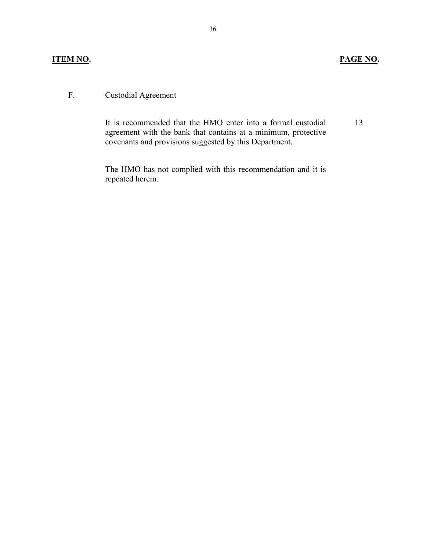## **Custodial Agreement**

F. Custodial Agreement<br>It is recommended that the HMO enter into a formal custodial agreement with the bank that contains at a minimum, protective covenants and provisions suggested by this Department.

> The HMO has not complied with this recommendation and it is repeated herein.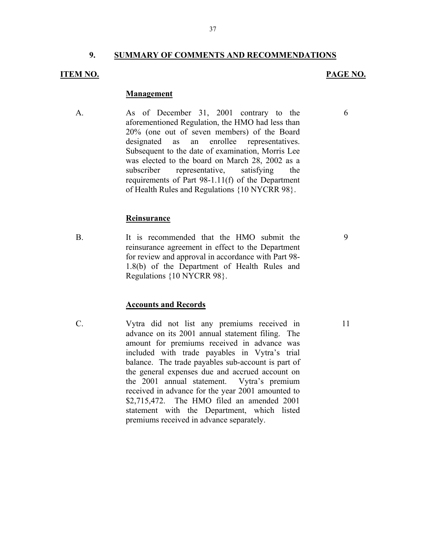### **9. SUMMARY OF COMMENTS AND RECOMMENDATIONS**

#### **ITEM NO.**

#### **PAGE NO.**

6

#### **Management**

A. As of December 31, 2001 contrary to the aforementioned Regulation, the HMO had less than 20% (one out of seven members) of the Board designated as an enrollee representatives. Subsequent to the date of examination, Morris Lee was elected to the board on March 28, 2002 as a subscriber representative, satisfying the requirements of Part 98-1.11(f) of the Department of Health Rules and Regulations {10 NYCRR 98}.

#### **Reinsurance**

B. It is recommended that the HMO submit the reinsurance agreement in effect to the Department for review and approval in accordance with Part 98- 1.8(b) of the Department of Health Rules and Regulations {10 NYCRR 98}.

#### **Accounts and Records**

C. Vytra did not list any premiums received in advance on its 2001 annual statement filing. The amount for premiums received in advance was included with trade payables in Vytra's trial balance. The trade payables sub-account is part of the general expenses due and accrued account on the 2001 annual statement. Vytra's premium received in advance for the year 2001 amounted to \$2,715,472. The HMO filed an amended 2001 statement with the Department, which listed premiums received in advance separately.

9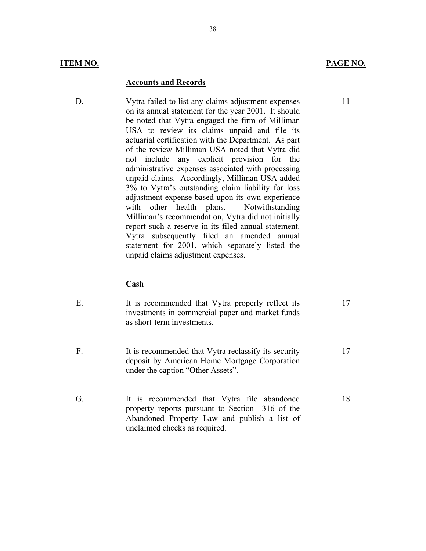#### **Accounts and Records**

D. Vytra failed to list any claims adjustment expenses on its annual statement for the year 2001. It should be noted that Vytra engaged the firm of Milliman USA to review its claims unpaid and file its actuarial certification with the Department. As part of the review Milliman USA noted that Vytra did not include any explicit provision for the administrative expenses associated with processing unpaid claims. Accordingly, Milliman USA added 3% to Vytra's outstanding claim liability for loss adjustment expense based upon its own experience with other health plans. Notwithstanding Milliman's recommendation, Vytra did not initially report such a reserve in its filed annual statement. Vytra subsequently filed an amended annual statement for 2001, which separately listed the unpaid claims adjustment expenses.

#### **Cash**

| It is recommended that Vytra properly reflect its |  |
|---------------------------------------------------|--|
| investments in commercial paper and market funds  |  |
| as short-term investments.                        |  |
|                                                   |  |

- F. It is recommended that Vytra reclassify its security deposit by American Home Mortgage Corporation under the caption "Other Assets". 17
- G. It is recommended that Vytra file abandoned property reports pursuant to Section 1316 of the Abandoned Property Law and publish a list of unclaimed checks as required. 18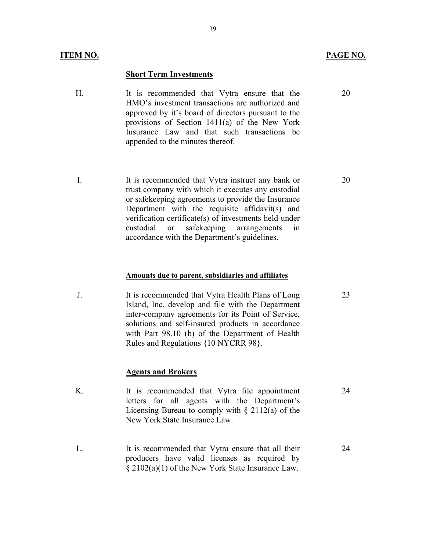#### **Short Term Investments**

- H. It is recommended that Vytra ensure that the HMO's investment transactions are authorized and approved by it's board of directors pursuant to the provisions of Section 1411(a) of the New York Insurance Law and that such transactions be appended to the minutes thereof.
- I. It is recommended that Vytra instruct any bank or trust company with which it executes any custodial or safekeeping agreements to provide the Insurance Department with the requisite affidavit(s) and verification certificate(s) of investments held under custodial or safekeeping arrangements in accordance with the Department's guidelines.

#### **Amounts due to parent, subsidiaries and affiliates**

J. It is recommended that Vytra Health Plans of Long Island, Inc. develop and file with the Department inter-company agreements for its Point of Service, solutions and self-insured products in accordance with Part 98.10 (b) of the Department of Health Rules and Regulations {10 NYCRR 98}.

#### **Agents and Brokers**

- K. It is recommended that Vytra file appointment letters for all agents with the Department's Licensing Bureau to comply with  $\S$  2112(a) of the New York State Insurance Law. 24
- L. It is recommended that Vytra ensure that all their producers have valid licenses as required by § 2102(a)(1) of the New York State Insurance Law. 24

20

20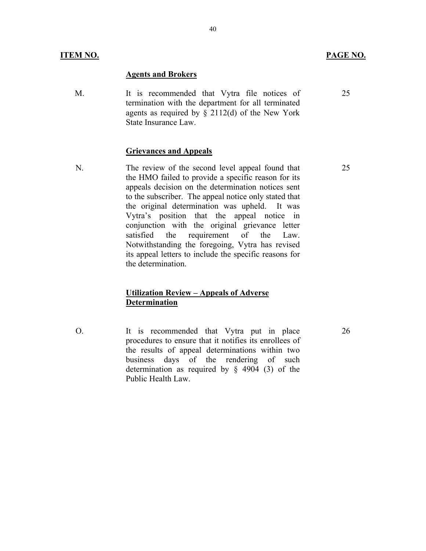#### **Agents and Brokers**

M. It is recommended that Vytra file notices of termination with the department for all terminated agents as required by  $\S$  2112(d) of the New York State Insurance Law.

#### **Grievances and Appeals**

N. The review of the second level appeal found that the HMO failed to provide a specific reason for its appeals decision on the determination notices sent to the subscriber. The appeal notice only stated that the original determination was upheld. It was Vytra's position that the appeal notice in conjunction with the original grievance letter satisfied the requirement of the Law. Notwithstanding the foregoing, Vytra has revised its appeal letters to include the specific reasons for the determination.

### **Utilization Review – Appeals of Adverse Determination**

O. It is recommended that Vytra put in place procedures to ensure that it notifies its enrollees of the results of appeal determinations within two business days of the rendering of such determination as required by § 4904 (3) of the Public Health Law.

25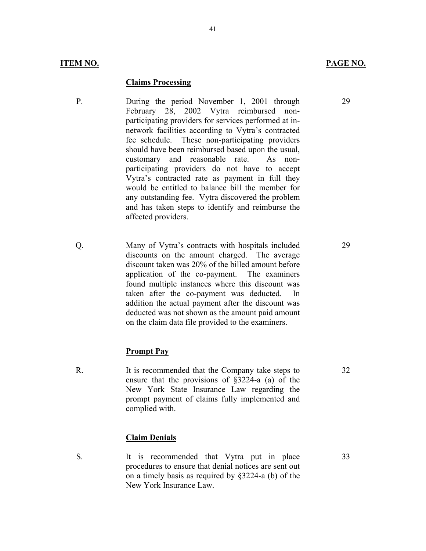#### **Claims Processing**

- P. During the period November 1, 2001 through February 28, 2002 Vytra reimbursed nonparticipating providers for services performed at innetwork facilities according to Vytra's contracted fee schedule. These non-participating providers should have been reimbursed based upon the usual, customary and reasonable rate. As nonparticipating providers do not have to accept Vytra's contracted rate as payment in full they would be entitled to balance bill the member for any outstanding fee. Vytra discovered the problem and has taken steps to identify and reimburse the affected providers.
- Q. Many of Vytra's contracts with hospitals included discounts on the amount charged. The average discount taken was 20% of the billed amount before application of the co-payment. The examiners found multiple instances where this discount was taken after the co-payment was deducted. In addition the actual payment after the discount was deducted was not shown as the amount paid amount on the claim data file provided to the examiners.

#### **Prompt Pay**

R. It is recommended that the Company take steps to ensure that the provisions of §3224-a (a) of the New York State Insurance Law regarding the prompt payment of claims fully implemented and complied with.

#### **Claim Denials**

S. It is recommended that Vytra put in place procedures to ensure that denial notices are sent out on a timely basis as required by §3224-a (b) of the New York Insurance Law.

29

29

32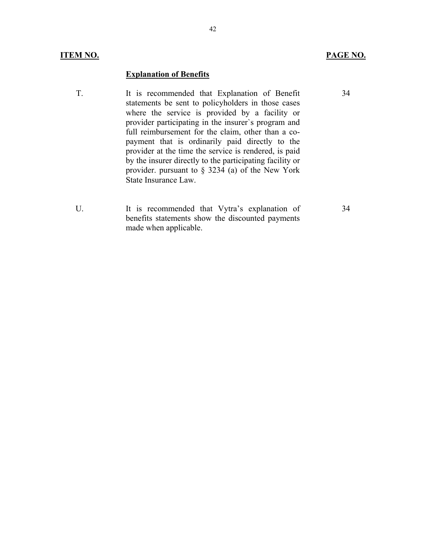### **Explanation of Benefits**

- T. It is recommended that Explanation of Benefit statements be sent to policyholders in those cases where the service is provided by a facility or provider participating in the insurer`s program and full reimbursement for the claim, other than a copayment that is ordinarily paid directly to the provider at the time the service is rendered, is paid by the insurer directly to the participating facility or provider. pursuant to § 3234 (a) of the New York State Insurance Law.
- U. It is recommended that Vytra's explanation of benefits statements show the discounted payments made when applicable.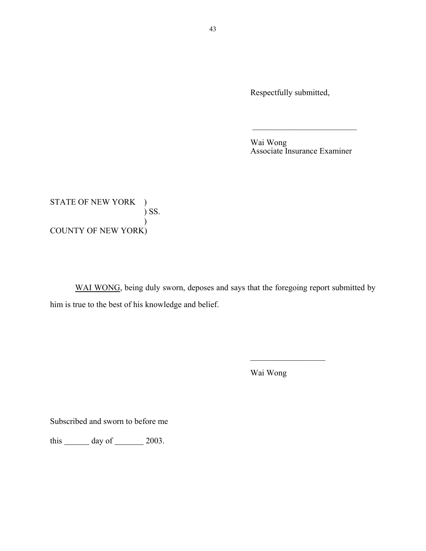Respectfully submitted,

Wai Wong Associate Insurance Examiner

\_\_\_\_\_\_\_\_\_\_\_\_\_\_\_\_\_\_\_\_\_\_\_\_\_

STATE OF NEW YORK )  $\sum$  SS.  $\mathcal{L}$ COUNTY OF NEW YORK)

WAI WONG, being duly sworn, deposes and says that the foregoing report submitted by him is true to the best of his knowledge and belief.

Wai Wong

 $\overline{\phantom{a}}$  , where  $\overline{\phantom{a}}$ 

Subscribed and sworn to before me

this  $\_\_\_\_\$  day of  $\_\_\_\_\$  2003.